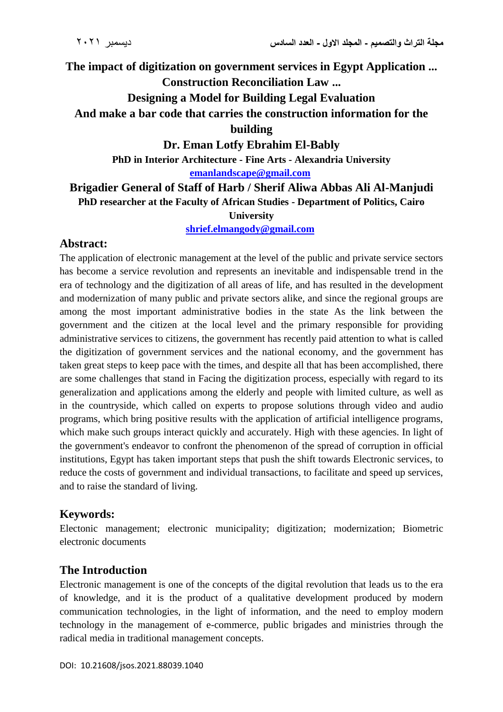## **The impact of digitization on government services in Egypt Application ...**

#### **Construction Reconciliation Law ...**

## **Designing a Model for Building Legal Evaluation**

# **And make a bar code that carries the construction information for the**

#### **building**

### **Dr. Eman Lotfy Ebrahim El-Bably**

**PhD in Interior Architecture - Fine Arts - Alexandria University**

#### **[emanlandscape@gmail.com](mailto:emanlandscape@gmail.com)**

### **Brigadier General of Staff of Harb / Sherif Aliwa Abbas Ali Al-Manjudi PhD researcher at the Faculty of African Studies - Department of Politics, Cairo**

#### **University**

#### **[shrief.elmangody@gmail.com](mailto:shrief.elmangody@gmail.com)**

### **Abstract:**

The application of electronic management at the level of the public and private service sectors has become a service revolution and represents an inevitable and indispensable trend in the era of technology and the digitization of all areas of life, and has resulted in the development and modernization of many public and private sectors alike, and since the regional groups are among the most important administrative bodies in the state As the link between the government and the citizen at the local level and the primary responsible for providing administrative services to citizens, the government has recently paid attention to what is called the digitization of government services and the national economy, and the government has taken great steps to keep pace with the times, and despite all that has been accomplished, there are some challenges that stand in Facing the digitization process, especially with regard to its generalization and applications among the elderly and people with limited culture, as well as in the countryside, which called on experts to propose solutions through video and audio programs, which bring positive results with the application of artificial intelligence programs, which make such groups interact quickly and accurately. High with these agencies. In light of the government's endeavor to confront the phenomenon of the spread of corruption in official institutions, Egypt has taken important steps that push the shift towards Electronic services, to reduce the costs of government and individual transactions, to facilitate and speed up services, and to raise the standard of living.

## **Keywords:**

Electonic management; electronic municipality; digitization; modernization; Biometric electronic documents

## **The Introduction**

Electronic management is one of the concepts of the digital revolution that leads us to the era of knowledge, and it is the product of a qualitative development produced by modern communication technologies, in the light of information, and the need to employ modern technology in the management of e-commerce, public brigades and ministries through the radical media in traditional management concepts.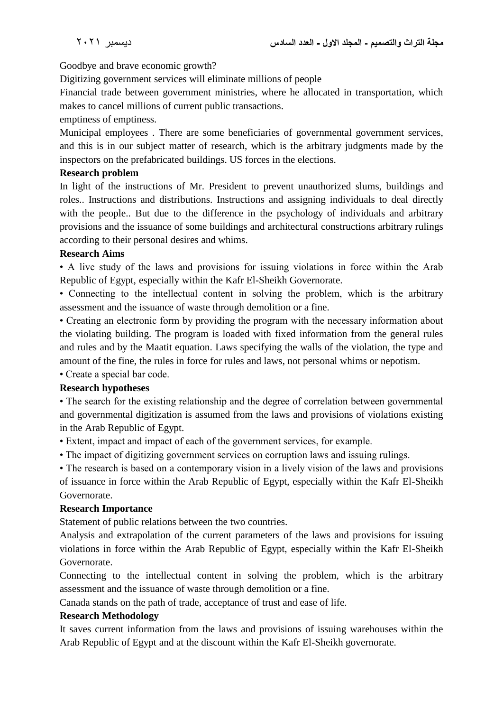Goodbye and brave economic growth?

Digitizing government services will eliminate millions of people

Financial trade between government ministries, where he allocated in transportation, which makes to cancel millions of current public transactions.

emptiness of emptiness.

Municipal employees . There are some beneficiaries of governmental government services, and this is in our subject matter of research, which is the arbitrary judgments made by the inspectors on the prefabricated buildings. US forces in the elections.

#### **Research problem**

In light of the instructions of Mr. President to prevent unauthorized slums, buildings and roles.. Instructions and distributions. Instructions and assigning individuals to deal directly with the people.. But due to the difference in the psychology of individuals and arbitrary provisions and the issuance of some buildings and architectural constructions arbitrary rulings according to their personal desires and whims.

#### **Research Aims**

• A live study of the laws and provisions for issuing violations in force within the Arab Republic of Egypt, especially within the Kafr El-Sheikh Governorate.

• Connecting to the intellectual content in solving the problem, which is the arbitrary assessment and the issuance of waste through demolition or a fine.

• Creating an electronic form by providing the program with the necessary information about the violating building. The program is loaded with fixed information from the general rules and rules and by the Maatit equation. Laws specifying the walls of the violation, the type and amount of the fine, the rules in force for rules and laws, not personal whims or nepotism.

• Create a special bar code.

### **Research hypotheses**

• The search for the existing relationship and the degree of correlation between governmental and governmental digitization is assumed from the laws and provisions of violations existing in the Arab Republic of Egypt.

• Extent, impact and impact of each of the government services, for example.

• The impact of digitizing government services on corruption laws and issuing rulings.

• The research is based on a contemporary vision in a lively vision of the laws and provisions of issuance in force within the Arab Republic of Egypt, especially within the Kafr El-Sheikh Governorate.

### **Research Importance**

Statement of public relations between the two countries.

Analysis and extrapolation of the current parameters of the laws and provisions for issuing violations in force within the Arab Republic of Egypt, especially within the Kafr El-Sheikh Governorate.

Connecting to the intellectual content in solving the problem, which is the arbitrary assessment and the issuance of waste through demolition or a fine.

Canada stands on the path of trade, acceptance of trust and ease of life.

#### **Research Methodology**

It saves current information from the laws and provisions of issuing warehouses within the Arab Republic of Egypt and at the discount within the Kafr El-Sheikh governorate.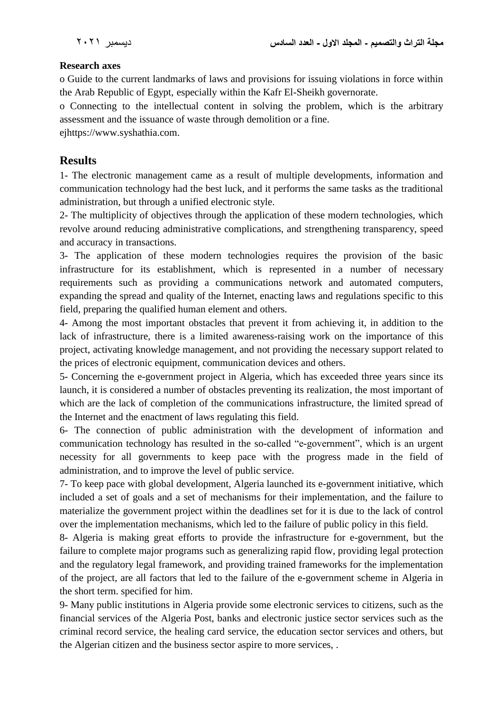### **Research axes**

o Guide to the current landmarks of laws and provisions for issuing violations in force within the Arab Republic of Egypt, especially within the Kafr El-Sheikh governorate.

o Connecting to the intellectual content in solving the problem, which is the arbitrary assessment and the issuance of waste through demolition or a fine.

ejhttps://www.syshathia.com.

## **Results**

1- The electronic management came as a result of multiple developments, information and communication technology had the best luck, and it performs the same tasks as the traditional administration, but through a unified electronic style.

2- The multiplicity of objectives through the application of these modern technologies, which revolve around reducing administrative complications, and strengthening transparency, speed and accuracy in transactions.

3- The application of these modern technologies requires the provision of the basic infrastructure for its establishment, which is represented in a number of necessary requirements such as providing a communications network and automated computers, expanding the spread and quality of the Internet, enacting laws and regulations specific to this field, preparing the qualified human element and others.

4- Among the most important obstacles that prevent it from achieving it, in addition to the lack of infrastructure, there is a limited awareness-raising work on the importance of this project, activating knowledge management, and not providing the necessary support related to the prices of electronic equipment, communication devices and others.

5- Concerning the e-government project in Algeria, which has exceeded three years since its launch, it is considered a number of obstacles preventing its realization, the most important of which are the lack of completion of the communications infrastructure, the limited spread of the Internet and the enactment of laws regulating this field.

6- The connection of public administration with the development of information and communication technology has resulted in the so-called "e-government", which is an urgent necessity for all governments to keep pace with the progress made in the field of administration, and to improve the level of public service.

7- To keep pace with global development, Algeria launched its e-government initiative, which included a set of goals and a set of mechanisms for their implementation, and the failure to materialize the government project within the deadlines set for it is due to the lack of control over the implementation mechanisms, which led to the failure of public policy in this field.

8- Algeria is making great efforts to provide the infrastructure for e-government, but the failure to complete major programs such as generalizing rapid flow, providing legal protection and the regulatory legal framework, and providing trained frameworks for the implementation of the project, are all factors that led to the failure of the e-government scheme in Algeria in the short term. specified for him.

9- Many public institutions in Algeria provide some electronic services to citizens, such as the financial services of the Algeria Post, banks and electronic justice sector services such as the criminal record service, the healing card service, the education sector services and others, but the Algerian citizen and the business sector aspire to more services, .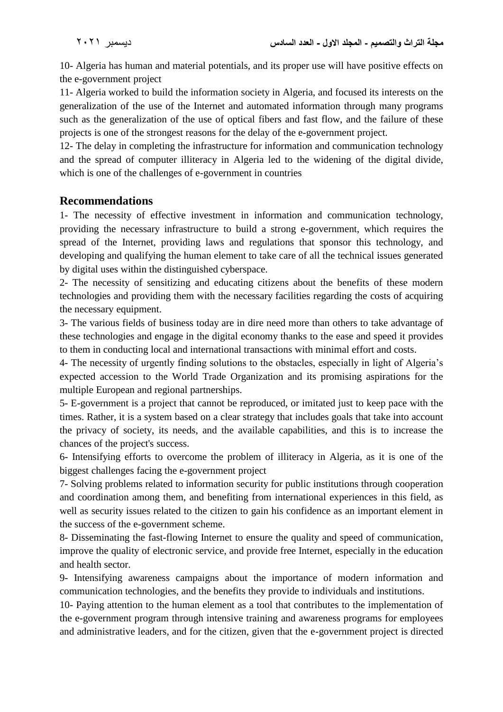10- Algeria has human and material potentials, and its proper use will have positive effects on the e-government project

11- Algeria worked to build the information society in Algeria, and focused its interests on the generalization of the use of the Internet and automated information through many programs such as the generalization of the use of optical fibers and fast flow, and the failure of these projects is one of the strongest reasons for the delay of the e-government project.

12- The delay in completing the infrastructure for information and communication technology and the spread of computer illiteracy in Algeria led to the widening of the digital divide, which is one of the challenges of e-government in countries

## **Recommendations**

1- The necessity of effective investment in information and communication technology, providing the necessary infrastructure to build a strong e-government, which requires the spread of the Internet, providing laws and regulations that sponsor this technology, and developing and qualifying the human element to take care of all the technical issues generated by digital uses within the distinguished cyberspace.

2- The necessity of sensitizing and educating citizens about the benefits of these modern technologies and providing them with the necessary facilities regarding the costs of acquiring the necessary equipment.

3- The various fields of business today are in dire need more than others to take advantage of these technologies and engage in the digital economy thanks to the ease and speed it provides to them in conducting local and international transactions with minimal effort and costs.

4- The necessity of urgently finding solutions to the obstacles, especially in light of Algeria's expected accession to the World Trade Organization and its promising aspirations for the multiple European and regional partnerships.

5- E-government is a project that cannot be reproduced, or imitated just to keep pace with the times. Rather, it is a system based on a clear strategy that includes goals that take into account the privacy of society, its needs, and the available capabilities, and this is to increase the chances of the project's success.

6- Intensifying efforts to overcome the problem of illiteracy in Algeria, as it is one of the biggest challenges facing the e-government project

7- Solving problems related to information security for public institutions through cooperation and coordination among them, and benefiting from international experiences in this field, as well as security issues related to the citizen to gain his confidence as an important element in the success of the e-government scheme.

8- Disseminating the fast-flowing Internet to ensure the quality and speed of communication, improve the quality of electronic service, and provide free Internet, especially in the education and health sector.

9- Intensifying awareness campaigns about the importance of modern information and communication technologies, and the benefits they provide to individuals and institutions.

10- Paying attention to the human element as a tool that contributes to the implementation of the e-government program through intensive training and awareness programs for employees and administrative leaders, and for the citizen, given that the e-government project is directed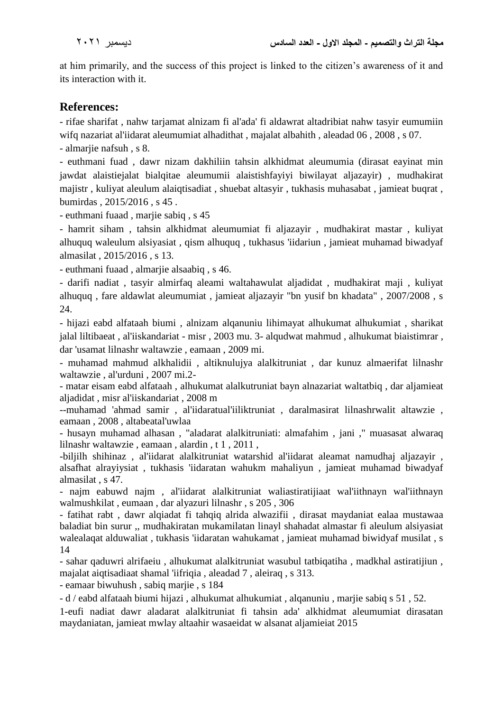at him primarily, and the success of this project is linked to the citizen's awareness of it and its interaction with it.

## **References:**

- rifae sharifat , nahw tarjamat alnizam fi al'ada' fi aldawrat altadribiat nahw tasyir eumumiin wifq nazariat al'iidarat aleumumiat alhadithat , majalat albahith , aleadad 06 , 2008 , s 07.

- almarjie nafsuh , s 8.

- euthmani fuad , dawr nizam dakhiliin tahsin alkhidmat aleumumia (dirasat eayinat min jawdat alaistiejalat bialqitae aleumumii alaistishfayiyi biwilayat aljazayir) , mudhakirat majistr , kuliyat aleulum alaiqtisadiat , shuebat altasyir , tukhasis muhasabat , jamieat buqrat , bumirdas , 2015/2016 , s 45 .

- euthmani fuaad , marjie sabiq , s 45

- hamrit siham , tahsin alkhidmat aleumumiat fi aljazayir , mudhakirat mastar , kuliyat alhuquq waleulum alsiyasiat , qism alhuquq , tukhasus 'iidariun , jamieat muhamad biwadyaf almasilat , 2015/2016 , s 13.

- euthmani fuaad , almarjie alsaabiq , s 46.

- darifi nadiat , tasyir almirfaq aleami waltahawulat aljadidat , mudhakirat maji , kuliyat alhuquq , fare aldawlat aleumumiat , jamieat aljazayir "bn yusif bn khadata" , 2007/2008 , s 24.

- hijazi eabd alfataah biumi , alnizam alqanuniu lihimayat alhukumat alhukumiat , sharikat jalal liltibaeat , al'iiskandariat - misr , 2003 mu. 3- alqudwat mahmud , alhukumat biaistimrar , dar 'usamat lilnashr waltawzie , eamaan , 2009 mi.

- muhamad mahmud alkhalidii , altiknulujya alalkitruniat , dar kunuz almaerifat lilnashr waltawzie , al'urduni , 2007 mi.2-

- matar eisam eabd alfataah , alhukumat alalkutruniat bayn alnazariat waltatbiq , dar aljamieat aljadidat , misr al'iiskandariat , 2008 m

--muhamad 'ahmad samir , al'iidaratual'iiliktruniat , daralmasirat lilnashrwalit altawzie , eamaan , 2008 , altabeatal'uwlaa

- husayn muhamad alhasan , "aladarat alalkitruniati: almafahim , jani ," muasasat alwaraq lilnashr waltawzie , eamaan , alardin , t 1 , 2011 ,

-biljilh shihinaz , al'iidarat alalkitruniat watarshid al'iidarat aleamat namudhaj aljazayir , alsafhat alrayiysiat , tukhasis 'iidaratan wahukm mahaliyun , jamieat muhamad biwadyaf almasilat , s 47.

- najm eabuwd najm , al'iidarat alalkitruniat waliastiratijiaat wal'iithnayn wal'iithnayn walmushkilat , eumaan , dar alyazuri lilnashr , s 205 , 306

- fatihat rabt , dawr alqiadat fi tahqiq alrida alwazifii , dirasat maydaniat ealaa mustawaa baladiat bin surur ,, mudhakiratan mukamilatan linayl shahadat almastar fi aleulum alsiyasiat walealaqat alduwaliat , tukhasis 'iidaratan wahukamat , jamieat muhamad biwidyaf musilat , s 14

- sahar qaduwri alrifaeiu , alhukumat alalkitruniat wasubul tatbiqatiha , madkhal astiratijiun , majalat aiqtisadiaat shamal 'iifriqia , aleadad 7 , aleiraq , s 313.

- eamaar biwuhush , sabiq marjie , s 184

- d / eabd alfataah biumi hijazi , alhukumat alhukumiat , alqanuniu , marjie sabiq s 51 , 52.

1-eufi nadiat dawr aladarat alalkitruniat fi tahsin ada' alkhidmat aleumumiat dirasatan maydaniatan, jamieat mwlay altaahir wasaeidat w alsanat aljamieiat 2015